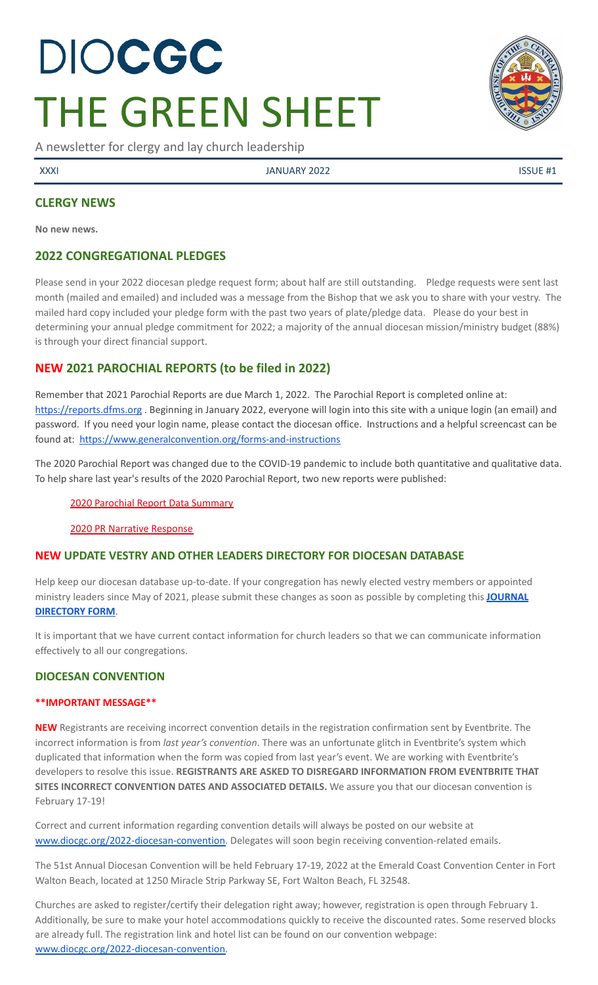# DIOCGC THE GREEN SHEET

A newsletter for clergy and lay church leadership

XXXI JANUARY 2022 ISSUE #1

## **CLERGY NEWS**

**No new news.**

### **2022 CONGREGATIONAL PLEDGES**

Please send in your 2022 diocesan pledge request form; about half are still outstanding. Pledge requests were sent last month (mailed and emailed) and included was a message from the Bishop that we ask you to share with your vestry. The mailed hard copy included your pledge form with the past two years of plate/pledge data. Please do your best in determining your annual pledge commitment for 2022; a majority of the annual diocesan mission/ministry budget (88%) is through your direct financial support.

# **NEW 2021 PAROCHIAL REPORTS (to be filed in 2022)**

Remember that 2021 Parochial Reports are due March 1, 2022. The Parochial Report is completed online at: <https://reports.dfms.org> . Beginning in January 2022, everyone will login into this site with a unique login (an email) and password. If you need your login name, please contact the diocesan office. Instructions and a helpful screencast can be found at: <https://www.generalconvention.org/forms-and-instructions>

The 2020 Parochial Report was changed due to the COVID-19 pandemic to include both quantitative and qualitative data. To help share last year's results of the 2020 Parochial Report, two new reports were published:

#### 2020 Parochial Report Data [Summary](https://www.generalconvention.org/2020-parochial-data)

2020 PR Narrative [Response](https://www.generalconvention.org/2020-narrative-data)

### **NEW UPDATE VESTRY AND OTHER LEADERS DIRECTORY FOR DIOCESAN DATABASE**

Help keep our diocesan database up-to-date. If your congregation has newly elected vestry members or appointed ministry leaders since May of 2021, please submit these changes as soon as possible by completing this **[JOURNAL](https://www.emailmeform.com/builder/form/eji270wUd6T49) [DIRECTORY](https://www.emailmeform.com/builder/form/eji270wUd6T49) FORM**.

It is important that we have current contact information for church leaders so that we can communicate information effectively to all our congregations.

### **DIOCESAN CONVENTION**

#### **\*\*IMPORTANT MESSAGE\*\***

**NEW** Registrants are receiving incorrect convention details in the registration confirmation sent by Eventbrite. The incorrect information is from *last year's convention*. There was an unfortunate glitch in Eventbrite's system which duplicated that information when the form was copied from last year's event. We are working with Eventbrite's developers to resolve this issue. **REGISTRANTS ARE ASKED TO DISREGARD INFORMATION FROM EVENTBRITE THAT SITES INCORRECT CONVENTION DATES AND ASSOCIATED DETAILS.** We assure you that our diocesan convention is February 17-19!

Correct and current information regarding convention details will always be posted on our website at [www.diocgc.org/2022-diocesan-convention.](http://www.diocgc.org/2022-diocesan-convention) Delegates will soon begin receiving convention-related emails.

The 51st Annual Diocesan Convention will be held February 17-19, 2022 at the Emerald Coast Convention Center in Fort Walton Beach, located at 1250 Miracle Strip Parkway SE, Fort Walton Beach, FL 32548.

Churches are asked to register/certify their delegation right away; however, registration is open through February 1. Additionally, be sure to make your hotel accommodations quickly to receive the discounted rates. Some reserved blocks are already full. The registration link and hotel list can be found on our convention webpage: [www.diocgc.org/2022-diocesan-convention.](http://www.diocgc.org/2022-diocesan-convention)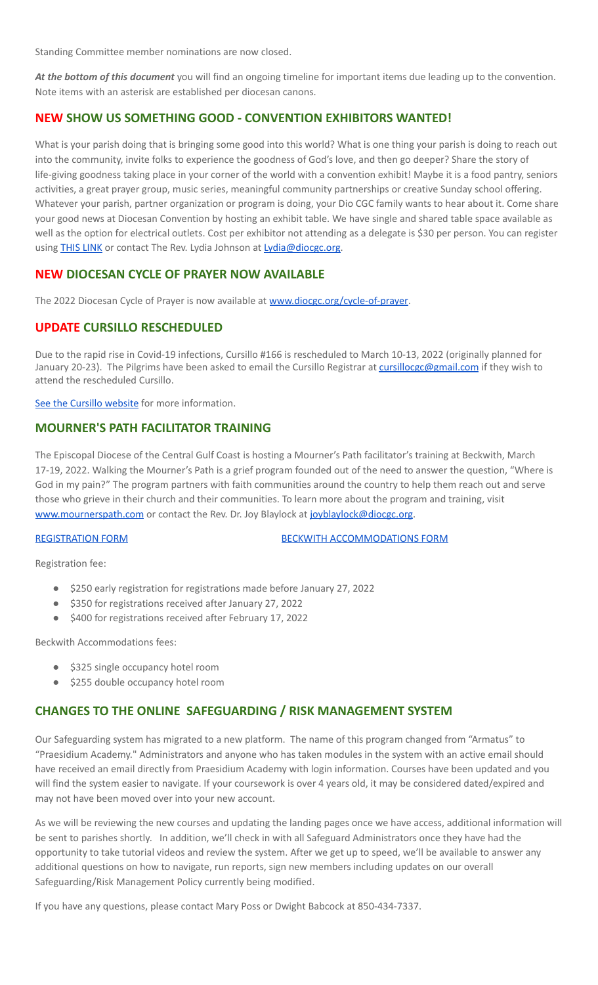Standing Committee member nominations are now closed.

*At the bottom of this document* you will find an ongoing timeline for important items due leading up to the convention. Note items with an asterisk are established per diocesan canons.

#### **NEW SHOW US SOMETHING GOOD - CONVENTION EXHIBITORS WANTED!**

What is your parish doing that is bringing some good into this world? What is one thing your parish is doing to reach out into the community, invite folks to experience the goodness of God's love, and then go deeper? Share the story of life-giving goodness taking place in your corner of the world with a convention exhibit! Maybe it is a food pantry, seniors activities, a great prayer group, music series, meaningful community partnerships or creative Sunday school offering. Whatever your parish, partner organization or program is doing, your Dio CGC family wants to hear about it. Come share your good news at Diocesan Convention by hosting an exhibit table. We have single and shared table space available as well as the option for electrical outlets. Cost per exhibitor not attending as a delegate is \$30 per person. You can register using **THIS [LINK](https://www.eventbrite.com/e/2022-diocesan-convention-non-delegate-attendee-registration-registration-221540823567)** or contact The Rev. Lydia Johnson at [Lydia@diocgc.org.](mailto:Lydia@diocgc.org)

# **NEW DIOCESAN CYCLE OF PRAYER NOW AVAILABLE**

The 2022 Diocesan Cycle of Prayer is now available at [www.diocgc.org/cycle-of-prayer.](http://www.diocgc.org/cycle-of-prayer)

### **UPDATE CURSILLO RESCHEDULED**

Due to the rapid rise in Covid-19 infections, Cursillo #166 is rescheduled to March 10-13, 2022 (originally planned for January 20-23). The Pilgrims have been asked to email the Cursillo Registrar at [cursillocgc@gmail.com](mailto:cursillocgc@gmail.com) if they wish to attend the rescheduled Cursillo.

See the Cursillo [website](https://www.coastalpilgrims.com/) for more information.

#### **MOURNER'S PATH FACILITATOR TRAINING**

The Episcopal Diocese of the Central Gulf Coast is hosting a Mourner's Path facilitator's training at Beckwith, March 17-19, 2022. Walking the Mourner's Path is a grief program founded out of the need to answer the question, "Where is God in my pain?" The program partners with faith communities around the country to help them reach out and serve those who grieve in their church and their communities. To learn more about the program and training, visit [www.mournerspath.com](http://www.mournerspath.com) or contact the Rev. Dr. Joy Blaylock at [joyblaylock@diocgc.org.](mailto:joyblaylock@diocgc.org)

[REGISTRATION](https://drive.google.com/file/d/1Dt48JlePEscAYYoSU4L_Ks6QRdMZcK_M/view?usp=sharing) FORM BECKWITH [ACCOMMODATIONS](https://events.r20.constantcontact.com/register/eventReg?oeidk=a07eiszh7o61fcdcbbc&oseq=&c=&ch=) FORM

Registration fee:

- \$250 early registration for registrations made before January 27, 2022
- \$350 for registrations received after January 27, 2022
- \$400 for registrations received after February 17, 2022

Beckwith Accommodations fees:

- \$325 single occupancy hotel room
- \$255 double occupancy hotel room

### **CHANGES TO THE ONLINE SAFEGUARDING / RISK MANAGEMENT SYSTEM**

Our Safeguarding system has migrated to a new platform. The name of this program changed from "Armatus" to "Praesidium Academy." Administrators and anyone who has taken modules in the system with an active email should have received an email directly from Praesidium Academy with login information. Courses have been updated and you will find the system easier to navigate. If your coursework is over 4 years old, it may be considered dated/expired and may not have been moved over into your new account.

As we will be reviewing the new courses and updating the landing pages once we have access, additional information will be sent to parishes shortly. In addition, we'll check in with all Safeguard Administrators once they have had the opportunity to take tutorial videos and review the system. After we get up to speed, we'll be available to answer any additional questions on how to navigate, run reports, sign new members including updates on our overall Safeguarding/Risk Management Policy currently being modified.

If you have any questions, please contact Mary Poss or Dwight Babcock at 850-434-7337.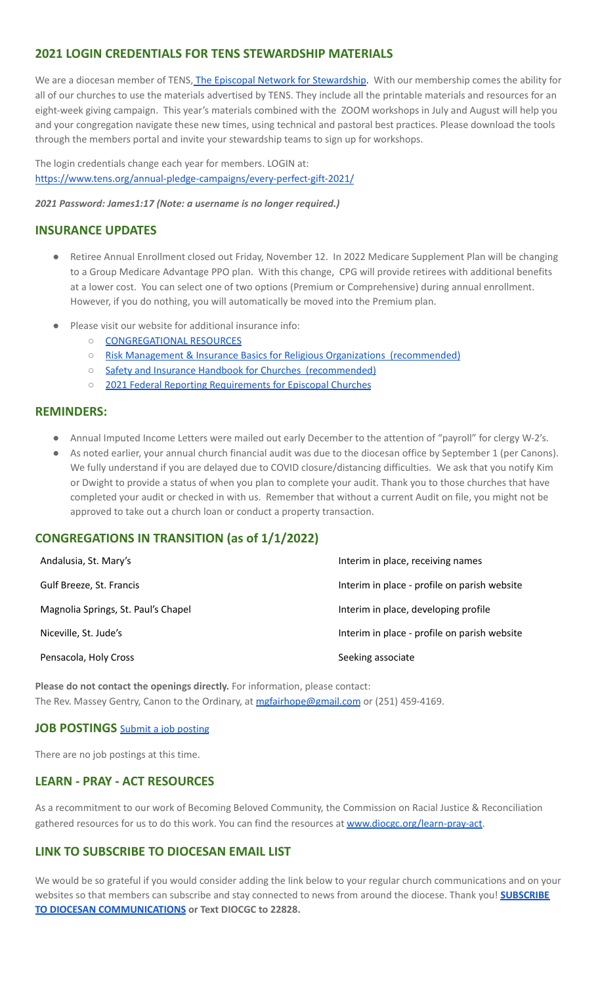# **2021 LOGIN CREDENTIALS FOR TENS STEWARDSHIP MATERIALS**

We are a diocesan member of TENS, The Episcopal Network for [Stewardship.](https://www.tens.org/) With our membership comes the ability for all of our churches to use the materials advertised by TENS. They include all the printable materials and resources for an eight-week giving campaign. This year's materials combined with the ZOOM workshops in July and August will help you and your congregation navigate these new times, using technical and pastoral best practices. Please download the tools through the members portal and invite your stewardship teams to sign up for workshops.

The login credentials change each year for members. LOGIN at: <https://www.tens.org/annual-pledge-campaigns/every-perfect-gift-2021/>

*2021 Password: James1:17 (Note: a username is no longer required.)*

#### **INSURANCE UPDATES**

- Retiree Annual Enrollment closed out Friday, November 12. In 2022 Medicare Supplement Plan will be changing to a Group Medicare Advantage PPO plan. With this change, CPG will provide retirees with additional benefits at a lower cost. You can select one of two options (Premium or Comprehensive) during annual enrollment. However, if you do nothing, you will automatically be moved into the Premium plan.
- Please visit our website for additional insurance info:
	- [CONGREGATIONAL](https://www.diocgc.org/congregational-resources) RESOURCES
	- Risk Management & Insurance Basics for Religious Organizations [\(recommended\)](https://2f23db9c-81c0-437f-88c1-0d3b99fdb03d.filesusr.com/ugd/ca270f_0fc945a39bad470191c4075c97602c08.pdf)
	- Safety and Insurance Handbook for Churches [\(recommended\)](https://2f23db9c-81c0-437f-88c1-0d3b99fdb03d.filesusr.com/ugd/4525a9_6b89020a60b040f49e2f7feb44b56873.pdf)
	- 2021 Federal Reporting [Requirements](https://www.cpg.org/globalassets/documents/publications/tax-2021-federal-reporting-requirements-for-episcopal-churches.pdf) for Episcopal Churches

#### **REMINDERS:**

- Annual Imputed Income Letters were mailed out early December to the attention of "payroll" for clergy W-2's.
- As noted earlier, your annual church financial audit was due to the diocesan office by September 1 (per Canons). We fully understand if you are delayed due to COVID closure/distancing difficulties. We ask that you notify Kim or Dwight to provide a status of when you plan to complete your audit. Thank you to those churches that have completed your audit or checked in with us. Remember that without a current Audit on file, you might not be approved to take out a church loan or conduct a property transaction.

### **CONGREGATIONS IN TRANSITION (as of 1/1/2022)**

| Andalusia, St. Mary's               | Interim in place, receiving names            |
|-------------------------------------|----------------------------------------------|
| Gulf Breeze, St. Francis            | Interim in place - profile on parish website |
| Magnolia Springs, St. Paul's Chapel | Interim in place, developing profile         |
| Niceville, St. Jude's               | Interim in place - profile on parish website |
| Pensacola, Holy Cross               | Seeking associate                            |

**Please do not contact the openings directly.** For information, please contact: The Rev. Massey Gentry, Canon to the Ordinary, at [mgfairhope@gmail.com](mailto:mgfairhope@gmail.com) or (251) 459-4169.

#### **JOB POSTINGS** Submit a job [posting](https://www.emailmeform.com/builder/form/0cZqC653GdH24p01aWQDfUh)

There are no job postings at this time.

### **LEARN - PRAY - ACT RESOURCES**

As a recommitment to our work of Becoming Beloved Community, the Commission on Racial Justice & Reconciliation gathered resources for us to do this work. You can find the resources at [www.diocgc.org/learn-pray-act.](http://www.diocgcorg/learn-pray-act)

#### **LINK TO SUBSCRIBE TO DIOCESAN EMAIL LIST**

We would be so grateful if you would consider adding the link below to your regular church communications and on your websites so that members can subscribe and stay connected to news from around the diocese. Thank you! **[SUBSCRIBE](https://visitor.r20.constantcontact.com/manage/optin?v=001ytzJgXCdPi7CMeRPYjkgWfph8ra8dQJmJ_jgoEJDuFPyjC3HarXiwlhH4JN80K9kNItCddcGgXt-VrglBC4Vvq3YhpG1ym5vnWRlozzk8WJwXJycFplGhx-zzZ96rxkiXY6YLv6vWkWPagBVarHUDKt3SmSUagqj) TO DIOCESAN [COMMUNICATIONS](https://visitor.r20.constantcontact.com/manage/optin?v=001ytzJgXCdPi7CMeRPYjkgWfph8ra8dQJmJ_jgoEJDuFPyjC3HarXiwlhH4JN80K9kNItCddcGgXt-VrglBC4Vvq3YhpG1ym5vnWRlozzk8WJwXJycFplGhx-zzZ96rxkiXY6YLv6vWkWPagBVarHUDKt3SmSUagqj) or Text DIOCGC to 22828.**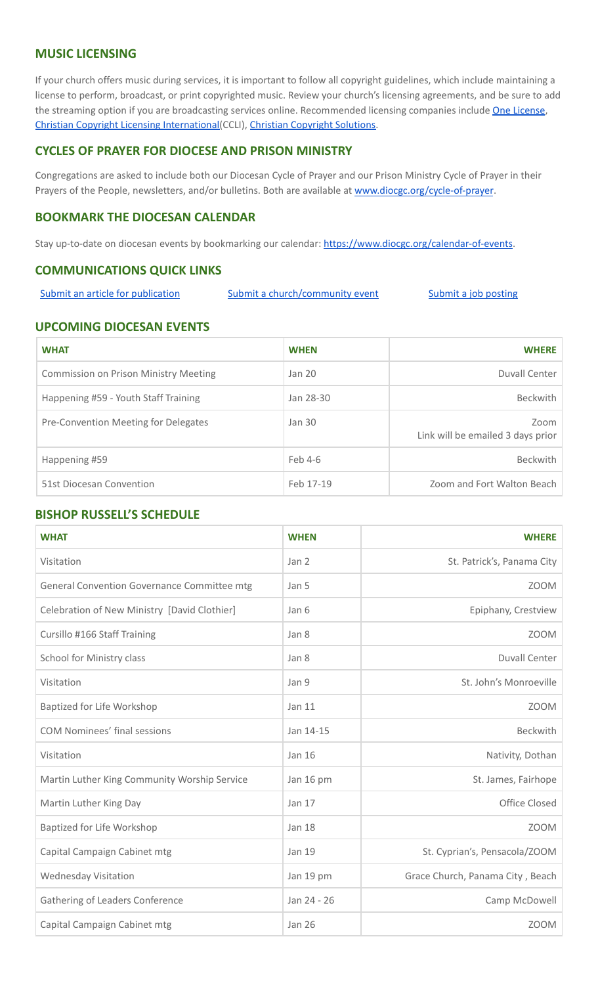### **MUSIC LICENSING**

If your church offers music during services, it is important to follow all copyright guidelines, which include maintaining a license to perform, broadcast, or print copyrighted music. Review your church's licensing agreements, and be sure to add the streaming option if you are broadcasting services online. Recommended licensing companies include One [License](https://onelicense.net/), Christian Copyright Licensing [International\(](https://us.ccli.com/)CCLI), Christian [Copyright](https://christiancopyrightsolutions.com/) Solutions.

#### **CYCLES OF PRAYER FOR DIOCESE AND PRISON MINISTRY**

Congregations are asked to include both our Diocesan Cycle of Prayer and our Prison Ministry Cycle of Prayer in their Prayers of the People, newsletters, and/or bulletins. Both are available at [www.diocgc.org/cycle-of-prayer](http://www.diocgc.org/cycle-of-prayer).

#### **BOOKMARK THE DIOCESAN CALENDAR**

Stay up-to-date on diocesan events by bookmarking our calendar: [https://www.diocgc.org/calendar-of-events.](https://www.diocgc.org/calendar-of-events)

#### **COMMUNICATIONS QUICK LINKS**

Submit an article for [publication](http://www.emailmeform.com/builder/form/XqOP984Ae60c8m6ynr) Submit a [church/community](http://www.emailmeform.com/builder/form/eOM4Bb6VTb78y20Wrapf8) event Submit a job [posting](https://www.emailmeform.com/builder/form/0cZqC653GdH24p01aWQDfUh)

#### **UPCOMING DIOCESAN EVENTS**

| <b>WHAT</b>                                  | <b>WHEN</b> | <b>WHERE</b>                              |
|----------------------------------------------|-------------|-------------------------------------------|
| <b>Commission on Prison Ministry Meeting</b> | Jan 20      | Duvall Center                             |
| Happening #59 - Youth Staff Training         | Jan 28-30   | <b>Beckwith</b>                           |
| Pre-Convention Meeting for Delegates         | Jan 30      | Zoom<br>Link will be emailed 3 days prior |
| Happening #59                                | Feb 4-6     | <b>Beckwith</b>                           |
| 51st Diocesan Convention                     | Feb 17-19   | Zoom and Fort Walton Beach                |

#### **BISHOP RUSSELL'S SCHEDULE**

| <b>WHAT</b>                                  | <b>WHEN</b>   | <b>WHERE</b>                     |
|----------------------------------------------|---------------|----------------------------------|
| Visitation                                   | Jan 2         | St. Patrick's, Panama City       |
| General Convention Governance Committee mtg  | Jan 5         | ZOOM                             |
| Celebration of New Ministry [David Clothier] | Jan 6         | Epiphany, Crestview              |
| Cursillo #166 Staff Training                 | Jan 8         | <b>ZOOM</b>                      |
| School for Ministry class                    | Jan 8         | <b>Duvall Center</b>             |
| Visitation                                   | Jan 9         | St. John's Monroeville           |
| Baptized for Life Workshop                   | Jan 11        | <b>ZOOM</b>                      |
| <b>COM Nominees' final sessions</b>          | Jan 14-15     | <b>Beckwith</b>                  |
| Visitation                                   | Jan 16        | Nativity, Dothan                 |
| Martin Luther King Community Worship Service | Jan 16 pm     | St. James, Fairhope              |
| Martin Luther King Day                       | Jan 17        | Office Closed                    |
| Baptized for Life Workshop                   | <b>Jan 18</b> | <b>ZOOM</b>                      |
| Capital Campaign Cabinet mtg                 | Jan 19        | St. Cyprian's, Pensacola/ZOOM    |
| <b>Wednesday Visitation</b>                  | Jan 19 pm     | Grace Church, Panama City, Beach |
| Gathering of Leaders Conference              | Jan 24 - 26   | Camp McDowell                    |
| Capital Campaign Cabinet mtg                 | <b>Jan 26</b> | ZOOM                             |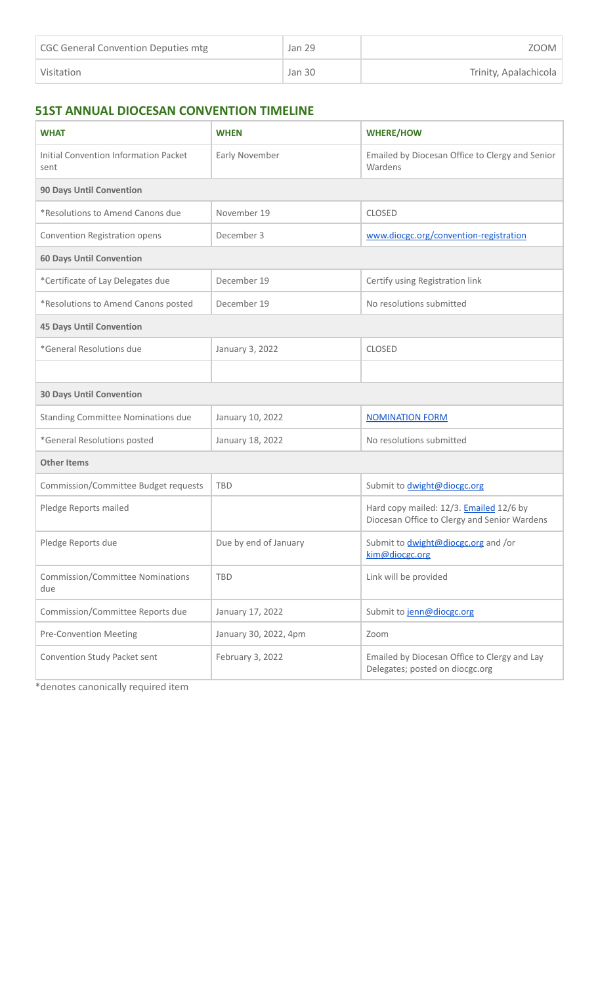| CGC General Convention Deputies mtg | Jan 29 | ZOOM                  |
|-------------------------------------|--------|-----------------------|
| Visitation                          | Jan 30 | Trinity, Apalachicola |

# **51ST ANNUAL DIOCESAN CONVENTION TIMELINE**

| <b>WHAT</b>                                          | <b>WHEN</b>           | <b>WHERE/HOW</b>                                                                        |  |
|------------------------------------------------------|-----------------------|-----------------------------------------------------------------------------------------|--|
| <b>Initial Convention Information Packet</b><br>sent | Early November        | Emailed by Diocesan Office to Clergy and Senior<br>Wardens                              |  |
| <b>90 Days Until Convention</b>                      |                       |                                                                                         |  |
| *Resolutions to Amend Canons due                     | November 19           | <b>CLOSED</b>                                                                           |  |
| Convention Registration opens                        | December 3            | www.diocgc.org/convention-registration                                                  |  |
| <b>60 Days Until Convention</b>                      |                       |                                                                                         |  |
| *Certificate of Lay Delegates due                    | December 19           | Certify using Registration link                                                         |  |
| *Resolutions to Amend Canons posted                  | December 19           | No resolutions submitted                                                                |  |
| <b>45 Days Until Convention</b>                      |                       |                                                                                         |  |
| *General Resolutions due                             | January 3, 2022       | <b>CLOSED</b>                                                                           |  |
|                                                      |                       |                                                                                         |  |
| <b>30 Days Until Convention</b>                      |                       |                                                                                         |  |
| <b>Standing Committee Nominations due</b>            | January 10, 2022      | <b>NOMINATION FORM</b>                                                                  |  |
| *General Resolutions posted                          | January 18, 2022      | No resolutions submitted                                                                |  |
| <b>Other Items</b>                                   |                       |                                                                                         |  |
| Commission/Committee Budget requests                 | <b>TBD</b>            | Submit to <i>dwight@diocgc.org</i>                                                      |  |
| Pledge Reports mailed                                |                       | Hard copy mailed: 12/3. Emailed 12/6 by<br>Diocesan Office to Clergy and Senior Wardens |  |
| Pledge Reports due                                   | Due by end of January | Submit to <i>dwight@diocgc.org</i> and /or<br>kim@diocgc.org                            |  |
| <b>Commission/Committee Nominations</b><br>due       | <b>TBD</b>            | Link will be provided                                                                   |  |
| Commission/Committee Reports due                     | January 17, 2022      | Submit to jenn@diocgc.org                                                               |  |
| <b>Pre-Convention Meeting</b>                        | January 30, 2022, 4pm | Zoom                                                                                    |  |
| Convention Study Packet sent                         | February 3, 2022      | Emailed by Diocesan Office to Clergy and Lay<br>Delegates; posted on diocgc.org         |  |

\*denotes canonically required item